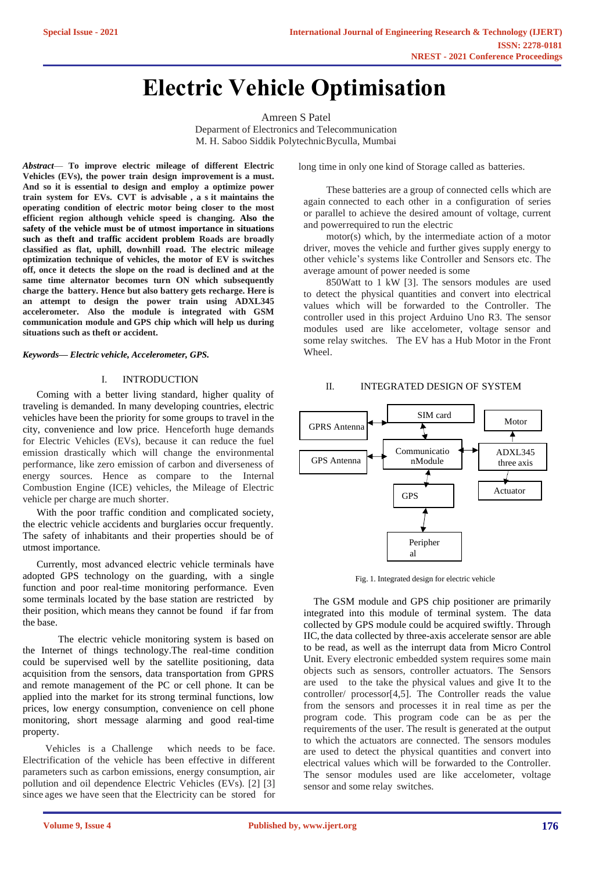# **Electric Vehicle Optimisation**

Amreen S Patel Deparment of Electronics and Telecommunication M. H. Saboo Siddik Polytechnic Byculla, Mumbai

*Abstract*— **To improve electric mileage of different Electric Vehicles (EVs), the power train design improvement is a must. And so it is essential to design and employ a optimize power train system for EVs. CVT is advisable , a s it maintains the operating condition of electric motor being closer to the most efficient region although vehicle speed is changing. Also the safety of the vehicle must be of utmost importance in situations such as theft and traffic accident problem Roads are broadly classified as flat, uphill, downhill road. The electric mileage optimization technique of vehicles, the motor of EV is switches off, once it detects the slope on the road is declined and at the same time alternator becomes turn ON which subsequently charge the battery. Hence but also battery gets recharge. Here is an attempt to design the power train using ADXL345 accelerometer. Also the module is integrated with GSM communication module and GPS chip which will help us during situations such as theft or accident.**

#### *Keywords— Electric vehicle, Accelerometer, GPS.*

#### I. INTRODUCTION

Coming with a better living standard, higher quality of traveling is demanded. In many developing countries, electric vehicles have been the priority for some groups to travel in the city, convenience and low price. Henceforth huge demands for Electric Vehicles (EVs), because it can reduce the fuel emission drastically which will change the environmental performance, like zero emission of carbon and diverseness of energy sources. Hence as compare to the Internal Combustion Engine (ICE) vehicles, the Mileage of Electric vehicle per charge are much shorter.

With the poor traffic condition and complicated society, the electric vehicle accidents and burglaries occur frequently. The safety of inhabitants and their properties should be of utmost importance.

Currently, most advanced electric vehicle terminals have adopted GPS technology on the guarding, with a single function and poor real-time monitoring performance. Even some terminals located by the base station are restricted by their position, which means they cannot be found if far from the base.

The electric vehicle monitoring system is based on the Internet of things technology.The real-time condition could be supervised well by the satellite positioning, data acquisition from the sensors, data transportation from GPRS and remote management of the PC or cell phone. It can be applied into the market for its strong terminal functions, low prices, low energy consumption, convenience on cell phone monitoring, short message alarming and good real-time property.

Vehicles is a Challenge which needs to be face. Electrification of the vehicle has been effective in different parameters such as carbon emissions, energy consumption, air pollution and oil dependence Electric Vehicles (EVs). [2] [3] since ages we have seen that the Electricity can be stored for long time in only one kind of Storage called as batteries.

These batteries are a group of connected cells which are again connected to each other in a configuration of series or parallel to achieve the desired amount of voltage, current and powerrequired to run the electric

motor(s) which, by the intermediate action of a motor driver, moves the vehicle and further gives supply energy to other vehicle's systems like Controller and Sensors etc. The average amount of power needed is some

850Watt to 1 kW [3]. The sensors modules are used to detect the physical quantities and convert into electrical values which will be forwarded to the Controller. The controller used in this project Arduino Uno R3. The sensor modules used are like accelometer, voltage sensor and some relay switches. The EV has a Hub Motor in the Front Wheel.

#### II. INTEGRATED DESIGN OF SYSTEM



Fig. 1. Integrated design for electric vehicle

The GSM module and GPS chip positioner are primarily integrated into this module of terminal system. The data collected by GPS module could be acquired swiftly. Through IIC, the data collected by three-axis accelerate sensor are able to be read, as well as the interrupt data from Micro Control Unit. Every electronic embedded system requires some main objects such as sensors, controller actuators. The Sensors are used to the take the physical values and give It to the controller/ processor[4,5]. The Controller reads the value from the sensors and processes it in real time as per the program code. This program code can be as per the requirements of the user. The result is generated at the output to which the actuators are connected. The sensors modules are used to detect the physical quantities and convert into electrical values which will be forwarded to the Controller. The sensor modules used are like accelometer, voltage sensor and some relay switches.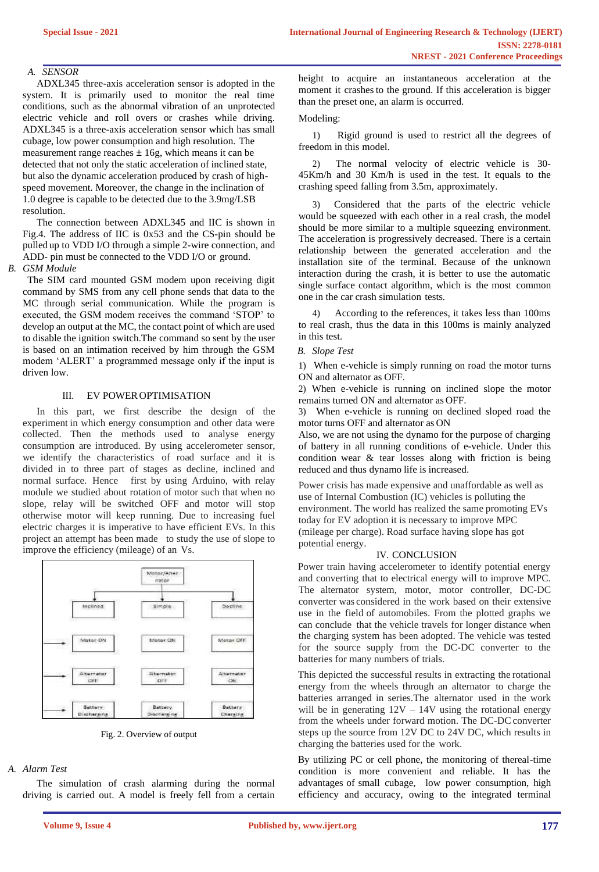# *A. SENSOR*

ADXL345 three-axis acceleration sensor is adopted in the system. It is primarily used to monitor the real time conditions, such as the abnormal vibration of an unprotected electric vehicle and roll overs or crashes while driving. ADXL345 is a three-axis acceleration sensor which has small cubage, low power consumption and high resolution. The measurement range reaches  $\pm 16$ g, which means it can be detected that not only the static acceleration of inclined state, but also the dynamic acceleration produced by crash of highspeed movement. Moreover, the change in the inclination of 1.0 degree is capable to be detected due to the 3.9mg/LSB resolution.

The connection between ADXL345 and IIC is shown in Fig.4. The address of IIC is 0x53 and the CS-pin should be pulled up to VDD I/O through a simple 2-wire connection, and ADD- pin must be connected to the VDD I/O or ground.

# *B. GSM Module*

The SIM card mounted GSM modem upon receiving digit command by SMS from any cell phone sends that data to the MC through serial communication. While the program is executed, the GSM modem receives the command 'STOP' to develop an output at the MC, the contact point of which are used to disable the ignition switch.The command so sent by the user is based on an intimation received by him through the GSM modem 'ALERT' a programmed message only if the input is driven low.

## III. EV POWEROPTIMISATION

In this part, we first describe the design of the experiment in which energy consumption and other data were collected. Then the methods used to analyse energy consumption are introduced. By using accelerometer sensor, we identify the characteristics of road surface and it is divided in to three part of stages as decline, inclined and normal surface. Hence first by using Arduino, with relay module we studied about rotation of motor such that when no slope, relay will be switched OFF and motor will stop otherwise motor will keep running. Due to increasing fuel electric charges it is imperative to have efficient EVs. In this project an attempt has been made to study the use of slope to improve the efficiency (mileage) of an Vs.



Fig. 2. Overview of output

# *A. Alarm Test*

The simulation of crash alarming during the normal driving is carried out. A model is freely fell from a certain height to acquire an instantaneous acceleration at the moment it crashes to the ground. If this acceleration is bigger than the preset one, an alarm is occurred.

# Modeling:

1) Rigid ground is used to restrict all the degrees of freedom in this model.

2) The normal velocity of electric vehicle is 30- 45Km/h and 30 Km/h is used in the test. It equals to the crashing speed falling from 3.5m, approximately.

3) Considered that the parts of the electric vehicle would be squeezed with each other in a real crash, the model should be more similar to a multiple squeezing environment. The acceleration is progressively decreased. There is a certain relationship between the generated acceleration and the installation site of the terminal. Because of the unknown interaction during the crash, it is better to use the automatic single surface contact algorithm, which is the most common one in the car crash simulation tests.

4) According to the references, it takes less than 100ms to real crash, thus the data in this 100ms is mainly analyzed in this test.

## *B. Slope Test*

1) When e-vehicle is simply running on road the motor turns ON and alternator as OFF.

2) When e-vehicle is running on inclined slope the motor remains turned ON and alternator as OFF.

3) When e-vehicle is running on declined sloped road the motor turns OFF and alternator as ON

Also, we are not using the dynamo for the purpose of charging of battery in all running conditions of e-vehicle. Under this condition wear & tear losses along with friction is being reduced and thus dynamo life is increased.

Power crisis has made expensive and unaffordable as well as use of Internal Combustion (IC) vehicles is polluting the environment. The world has realized the same promoting EVs today for EV adoption it is necessary to improve MPC (mileage per charge). Road surface having slope has got potential energy.

#### IV. CONCLUSION

Power train having accelerometer to identify potential energy and converting that to electrical energy will to improve MPC. The alternator system, motor, motor controller, DC-DC converter was considered in the work based on their extensive use in the field of automobiles. From the plotted graphs we can conclude that the vehicle travels for longer distance when the charging system has been adopted. The vehicle was tested for the source supply from the DC-DC converter to the batteries for many numbers of trials.

This depicted the successful results in extracting the rotational energy from the wheels through an alternator to charge the batteries arranged in series.The alternator used in the work will be in generating  $12V - 14V$  using the rotational energy from the wheels under forward motion. The DC-DC converter steps up the source from 12V DC to 24V DC, which results in charging the batteries used for the work.

By utilizing PC or cell phone, the monitoring of thereal-time condition is more convenient and reliable. It has the advantages of small cubage, low power consumption, high efficiency and accuracy, owing to the integrated terminal